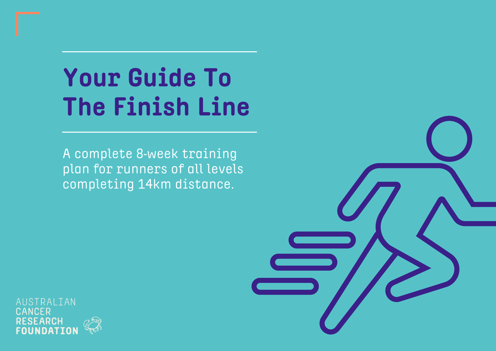# **Your Guide To The Finish Line**

A complete 8-week training plan for runners of all levels completing 14km distance.

RALIAN DUF



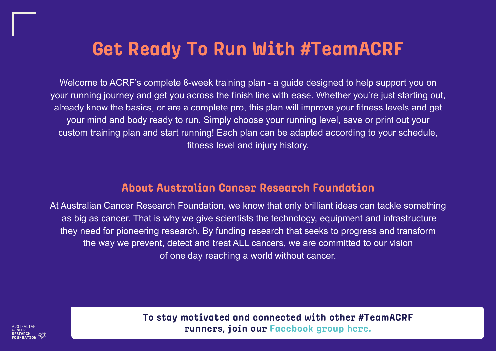## **Get Ready To Run With #TeamACRF**

Welcome to ACRF's complete 8-week training plan - a guide designed to help support you on your running journey and get you across the finish line with ease. Whether you're just starting out, already know the basics, or are a complete pro, this plan will improve your fitness levels and get your mind and body ready to run. Simply choose your running level, save or print out your custom training plan and start running! Each plan can be adapted according to your schedule, fitness level and injury history.

### **About Australian Cancer Research Foundation**

At Australian Cancer Research Foundation, we know that only brilliant ideas can tackle something as big as cancer. That is why we give scientists the technology, equipment and infrastructure they need for pioneering research. By funding research that seeks to progress and transform the way we prevent, detect and treat ALL cancers, we are committed to our vision of one day reaching a world without cancer.

> **To stay motivated and connected with other #TeamACRF runners, join our [Facebook group here.](https://www.facebook.com/groups/404533114402613/)**



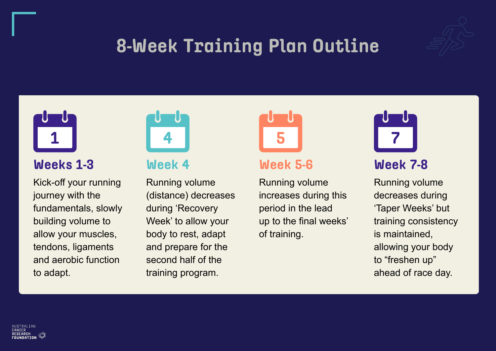## **8-Week Training Plan Outline**

### **Weeks 1-3**

Kick-off your running journey with the fundamentals, slowly building volume to allow your muscles, tendons, ligaments and aerobic function to adapt.



### **Week 4**

Running volume (distance) decreases during 'Recovery Week' to allow your body to rest, adapt and prepare for the second half of the training program.



### **Week 5-6**

Running volume increases during this period in the lead up to the final weeks' of training.









### **Week 7-8**

Running volume decreases during 'Taper Weeks' but training consistency is maintained, allowing your body to "freshen up" ahead of race day.

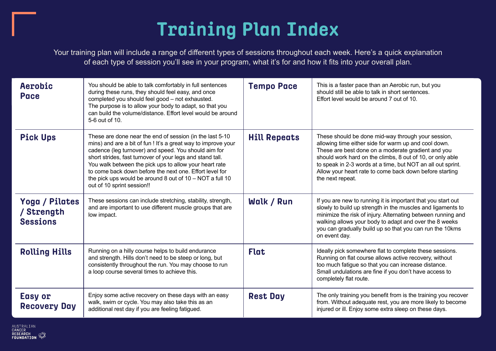| Aerobic<br><b>Pace</b>                          | You should be able to talk comfortably in full sentences<br>during these runs, they should feel easy, and once<br>completed you should feel good - not exhausted.<br>The purpose is to allow your body to adapt, so that you<br>can build the volume/distance. Effort level would be around<br>5-6 out of 10.                                                                                                                                                   | <b>Tempo Pace</b>   | This is a faster pace the<br>should still be able to ta<br>Effort level would be ar                                                                                             |
|-------------------------------------------------|-----------------------------------------------------------------------------------------------------------------------------------------------------------------------------------------------------------------------------------------------------------------------------------------------------------------------------------------------------------------------------------------------------------------------------------------------------------------|---------------------|---------------------------------------------------------------------------------------------------------------------------------------------------------------------------------|
| <b>Pick Ups</b>                                 | These are done near the end of session (in the last 5-10<br>mins) and are a bit of fun ! It's a great way to improve your<br>cadence (leg turnover) and speed. You should aim for<br>short strides, fast turnover of your legs and stand tall.<br>You walk between the pick ups to allow your heart rate<br>to come back down before the next one. Effort level for<br>the pick ups would be around 8 out of $10 - NOT$ a full 10<br>out of 10 sprint session!! | <b>Hill Repeats</b> | These should be done<br>allowing time either sid<br>These are best done of<br>should work hard on th<br>to speak in 2-3 words a<br>Allow your heart rate to<br>the next repeat. |
| Yoga / Pilates<br>/ Strength<br><b>Sessions</b> | These sessions can include stretching, stability, strength,<br>and are important to use different muscle groups that are<br>low impact.                                                                                                                                                                                                                                                                                                                         | Walk / Run          | If you are new to running<br>slowly to build up stren<br>minimize the risk of inju<br>walking allows your bo<br>you can gradually build<br>on event day.                        |
| <b>Rolling Hills</b>                            | Running on a hilly course helps to build endurance<br>and strength. Hills don't need to be steep or long, but<br>consistently throughout the run. You may choose to run<br>a loop course several times to achieve this.                                                                                                                                                                                                                                         | <b>Flat</b>         | Ideally pick somewhere<br>Running on flat course<br>too much fatigue so tha<br>Small undulations are f<br>completely flat route.                                                |
| <b>Easy or</b><br><b>Recovery Day</b>           | Enjoy some active recovery on these days with an easy<br>walk, swim or cycle. You may also take this as an<br>additional rest day if you are feeling fatigued.                                                                                                                                                                                                                                                                                                  | <b>Rest Day</b>     | The only training you b<br>from. Without adequate<br>injured or ill. Enjoy som                                                                                                  |

NUSTRALIAN **RESEARCH** RESEARCH<br>FOUNDATION

an an Aerobic run, but you alk in short sentences.  $\mu$  cound 7 out of 10.

**Hill Repeats** Mill Repeats in Apple mid-way through your session, de for warm up and cool down. on a moderate gradient and you ne climbs, 8 out of 10, or only able at a time, but NOT an all out sprint. come back down before starting

ng it is important that you start out igth in the muscles and ligaments to ury. Alternating between running and dy to adapt and over the 8 weeks up so that you can run the 10kms

**Follet ideally propidly example to flat to complete these sessions.** allows active recovery, without at you can increase distance. fine if you don't have access to

**Reset Bay The Sepan Exercise Sepanding** you recover from. We rest, you are more likely to become ie extra sleep on these days.

## **Training Plan Index**

Your training plan will include a range of different types of sessions throughout each week. Here's a quick explanation of each type of session you'll see in your program, what it's for and how it fits into your overall plan.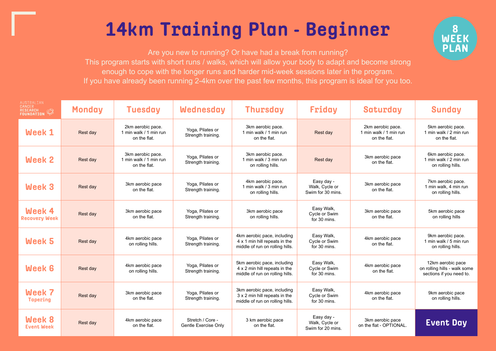## **14km Training Plan - Beginner**

Are you new to running? Or have had a break from running? This program starts with short runs / walks, which will allow your body to adapt and become strong enough to cope with the longer runs and harder mid-week sessions later in the program. If you have already been running 2-4km over the past few months, this program is ideal for you too.

| AUSTRALIAN<br>CANCER<br>RESEARCH<br>FOUNDATION | Monday   | <b>Tuesday</b>                                              | <b>Wednesday</b>                                | <b>Thursday</b>                                                                                 | Friday                                            | Saturday                                                    | <b>Sunday</b>                                                                 |
|------------------------------------------------|----------|-------------------------------------------------------------|-------------------------------------------------|-------------------------------------------------------------------------------------------------|---------------------------------------------------|-------------------------------------------------------------|-------------------------------------------------------------------------------|
| <b>Week 1</b>                                  | Rest day | 2km aerobic pace.<br>1 min walk / 1 min run<br>on the flat. | Yoga, Pilates or<br>Strength training.          | 3km aerobic pace.<br>1 min walk / 1 min run<br>on the flat.                                     | Rest day                                          | 2km aerobic pace.<br>1 min walk / 1 min run<br>on the flat. | 5km aerobic pace.<br>1 min walk / 2 min run<br>on the flat.                   |
| Week 2                                         | Rest day | 3km aerobic pace.<br>1 min walk / 1 min run<br>on the flat. | Yoga, Pilates or<br>Strength training.          | 3km aerobic pace.<br>1 min walk / 3 min run<br>on rolling hills.                                | Rest day                                          | 3km aerobic pace<br>on the flat.                            | 6km aerobic pace.<br>1 min walk / 2 min run<br>on rolling hills.              |
| <b>Week 3</b>                                  | Rest day | 3km aerobic pace<br>on the flat.                            | Yoga, Pilates or<br>Strength training.          | 4km aerobic pace.<br>1 min walk / 3 min run<br>on rolling hills.                                | Easy day -<br>Walk, Cycle or<br>Swim for 30 mins. | 3km aerobic pace<br>on the flat.                            | 7km aerobic pace.<br>1 min walk, 4 min run<br>on rolling hills.               |
| Week 4<br><b>Recovery Week</b>                 | Rest day | 3km aerobic pace<br>on the flat.                            | Yoga, Pilates or<br>Strength training.          | 3km aerobic pace<br>on rolling hills.                                                           | Easy Walk,<br>Cycle or Swim<br>for 30 mins.       | 3km aerobic pace<br>on the flat.                            | 5km aerobic pace<br>on rolling hills                                          |
| <b>Week 5</b>                                  | Rest day | 4km aerobic pace<br>on rolling hills.                       | Yoga, Pilates or<br>Strength training.          | 4km aerobic pace, including<br>4 x 1 min hill repeats in the<br>middle of run on rolling hills. | Easy Walk,<br>Cycle or Swim<br>for 30 mins.       | 4km aerobic pace<br>on the flat.                            | 9km aerobic pace.<br>1 min walk / 5 min run<br>on rolling hills.              |
| <b>Week 6</b>                                  | Rest day | 4km aerobic pace<br>on rolling hills.                       | Yoga, Pilates or<br>Strength training.          | 5km aerobic pace, including<br>4 x 2 min hill repeats in the<br>middle of run on rolling hills. | Easy Walk,<br>Cycle or Swim<br>for 30 mins.       | 4km aerobic pace<br>on the flat.                            | 12km aerobic pace<br>on rolling hills - walk some<br>sections if you need to. |
| Week 7<br><b>Tapering</b>                      | Rest day | 3km aerobic pace<br>on the flat.                            | Yoga, Pilates or<br>Strength training.          | 3km aerobic pace, including<br>3 x 2 min hill repeats in the<br>middle of run on rolling hills. | Easy Walk,<br>Cycle or Swim<br>for 30 mins.       | 4km aerobic pace<br>on the flat.                            | 9km aerobic pace<br>on rolling hills.                                         |
| Week 8<br><b>Event Week</b>                    | Rest day | 4km aerobic pace<br>on the flat.                            | Stretch / Core -<br><b>Gentle Exercise Only</b> | 3 km aerobic pace<br>on the flat.                                                               | Easy day -<br>Walk, Cycle or<br>Swim for 20 mins. | 3km aerobic pace<br>on the flat - OPTIONAL.                 | <b>Event Day</b>                                                              |



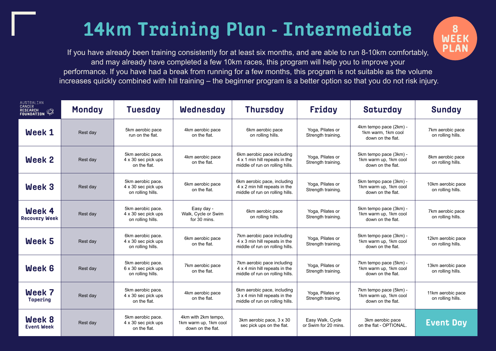## **14km Training Plan - Intermediate**

If you have already been training consistently for at least six months, and are able to run 8-10km comfortably, and may already have completed a few 10km races, this program will help you to improve your performance. If you have had a break from running for a few months, this program is not suitable as the volume increases quickly combined with hill training – the beginner program is a better option so that you do not risk injury.

| AUSTRALIAN<br>CANCER<br>RESEARCH<br>FOUNDATION | <b>Monday</b> | <b>Tuesday</b>                                                | Wednesday                                                         | <b>Thursday</b>                                                                                 | Friday                                   | Saturday                                                             | <b>Sunday</b>                          |
|------------------------------------------------|---------------|---------------------------------------------------------------|-------------------------------------------------------------------|-------------------------------------------------------------------------------------------------|------------------------------------------|----------------------------------------------------------------------|----------------------------------------|
| Week 1                                         | Rest day      | 5km aerobic pace<br>run on the flat.                          | 4km aerobic pace<br>on the flat.                                  | 6km aerobic pace<br>on rolling hills.                                                           | Yoga, Pilates or<br>Strength training.   | 4km tempo pace (2km) -<br>1km warm, 1km cool<br>down on the flat.    | 7km aerobic pace<br>on rolling hills.  |
| Week 2                                         | Rest day      | 5km aerobic pace.<br>4 x 30 sec pick ups<br>on the flat.      | 4km aerobic pace<br>on the flat.                                  | 6km aerobic pace including<br>4 x 1 min hill repeats in the<br>middle of run on rolling hills.  | Yoga, Pilates or<br>Strength training.   | 5km tempo pace (3km) -<br>1km warm up, 1km cool<br>down on the flat. | 8km aerobic pace<br>on rolling hills.  |
| <b>Week 3</b>                                  | Rest day      | 5km aerobic pace.<br>4 x 30 sec pick ups<br>on rolling hills. | 6km aerobic pace<br>on the flat.                                  | 6km aerobic pace, including<br>4 x 2 min hill repeats in the<br>middle of run on rolling hills. | Yoga, Pilates or<br>Strength training.   | 5km tempo pace (3km) -<br>1km warm up, 1km cool<br>down on the flat. | 10km aerobic pace<br>on rolling hills. |
| Week 4<br><b>Recovery Week</b>                 | Rest day      | 5km aerobic pace.<br>4 x 30 sec pick ups<br>on rolling hills. | Easy day -<br>Walk, Cycle or Swim<br>for 30 mins.                 | 6km aerobic pace<br>on rolling hills.                                                           | Yoga, Pilates or<br>Strength training.   | 5km tempo pace (3km) -<br>1km warm up, 1km cool<br>down on the flat. | 7km aerobic pace<br>on rolling hills.  |
| Week 5                                         | Rest day      | 6km aerobic pace.<br>4 x 30 sec pick ups<br>on rolling hills. | 6km aerobic pace<br>on the flat.                                  | 7km aerobic pace including<br>4 x 3 min hill repeats in the<br>middle of run on rolling hills.  | Yoga, Pilates or<br>Strength training.   | 5km tempo pace (3km) -<br>1km warm up, 1km cool<br>down on the flat. | 12km aerobic pace<br>on rolling hills. |
| Week 6                                         | Rest day      | 5km aerobic pace.<br>6 x 30 sec pick ups<br>on rolling hills. | 7km aerobic pace<br>on the flat.                                  | 7km aerobic pace including<br>4 x 4 min hill repeats in the<br>middle of run on rolling hills.  | Yoga, Pilates or<br>Strength training.   | 7km tempo pace (5km) -<br>1km warm up, 1km cool<br>down on the flat. | 13km aerobic pace<br>on rolling hills. |
| Week 7<br>Tapering                             | Rest day      | 5km aerobic pace.<br>4 x 30 sec pick ups<br>on the flat.      | 4km aerobic pace<br>on the flat.                                  | 6km aerobic pace, including<br>3 x 4 min hill repeats in the<br>middle of run on rolling hills. | Yoga, Pilates or<br>Strength training.   | 7km tempo pace (5km) -<br>1km warm up, 1km cool<br>down on the flat. | 11km aerobic pace<br>on rolling hills. |
| Week 8<br><b>Event Week</b>                    | Rest day      | 5km aerobic pace.<br>4 x 30 sec pick ups<br>on the flat.      | 4km with 2km tempo,<br>1km warm up, 1km cool<br>down on the flat. | 3km aerobic pace, 3 x 30<br>sec pick ups on the flat.                                           | Easy Walk, Cycle<br>or Swim for 20 mins. | 3km aerobic pace<br>on the flat - OPTIONAL.                          | <b>Event Day</b>                       |